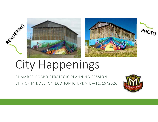





# City Happenings

CHAMBER BOARD STRATEGIC PLANNING SESSION

CITY OF MIDDLETON ECONOMIC UPDATE—11/19/2020

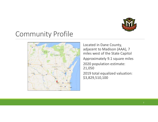

# Community Profile



Located in Dane County, adjacent to Madison (AAA), 7 miles west of the State CapitolApproximately 9.1 square miles2020 population estimate: 21,050 2019 total equalized valuation: \$3,829,510,100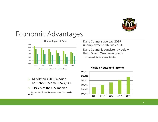

### Economic Advantages



- $\Box$  Middleton's 2018 median household income is \$74,141
- $\Box$ 119.7% of the U.S. median

Source: U.S. Census Bureau, American Community Survey

Dane County's average 2019 unemployment rate was 2.3% Dane County is consistently below the U.S. and Wisconsin Levels

Source: U.S. Bureau of Labor Statistics



#### **Median Household Income**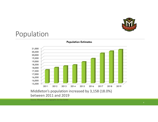

# Population



**Population Estimates**

Source: Wisconsin Demographic Service Center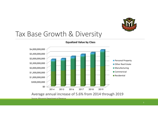

### Tax Base Growth & Diversity



**Equalized Value by Class**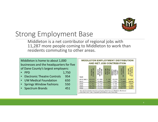

# Strong Employment Base

 Middleton is a net contributor of regional jobs with 11,287 more people coming to Middleton to work thanresidents commuting to other areas.

Middleton is home to about 1,000 businesses and the headquarters for five of Dane County's largest employers:

- PPD • PPD 1,750
- 954 • Electronic Theatre Controls 954
- 650 •**UW Medical Foundation**
- 550 • Springs Window Fashions 550
- 451 • Spectrum Brands 451

|             |                                           |                                                             |                     | <b>MIDDLETON EMPLOYMENT DISTRIBUTION</b><br>AND NET JOB CONTRIBUTION |                                      |                                                         |
|-------------|-------------------------------------------|-------------------------------------------------------------|---------------------|----------------------------------------------------------------------|--------------------------------------|---------------------------------------------------------|
| <b>YEAR</b> | <b>CELLONE TALO!</b><br><b>N MECLETCA</b> | <b>MCOLETON</b><br>EMPLOYED IN<br>ELSEV/HERE<br><b>ENES</b> | MOZERNA<br>ENPLOYED | EL SEWHERE<br>GIAOTONE<br><b>MODLETON</b><br><b>LIVES N</b>          | 팀<br><b>MANDERS</b><br><b>CRKERE</b> | <b>WET REGIONAL JOB</b><br>CONTRIBUTION BY<br>MODILETOW |
| 2018 (est.) | 23,678                                    | 21.496                                                      | 2,182               | 10,209                                                               | 12,391                               | 11,287                                                  |
| 2010        | 16,075                                    | 18,409                                                      | 666                 | 7.793                                                                | 9.459                                | 8.616                                                   |
| 2008        | 17,465                                    | 15,750                                                      | $*715$              | 8.109                                                                | 9,824                                | 7.641                                                   |
| 2006        | 16,788                                    | 15.015                                                      | 1773                | 7.233                                                                | 9.006                                | 7.782                                                   |
| 2004        | 15,344                                    | 13,514                                                      | 830                 | 8,287                                                                | 15,117                               | 5.227                                                   |

Eleswhere" from Total "Employed In Mindleton Elves Eleswhere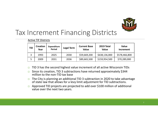

# Tax Increment Financing Districts

| <b>TID</b> | <b>Creation</b><br>Year | <b>Expenditure</b><br>Period | Legal Term | <b>Current Base</b><br><b>Value</b> | 2019 Total<br><b>Value</b> | <b>Value</b><br><b>Increment</b> |
|------------|-------------------------|------------------------------|------------|-------------------------------------|----------------------------|----------------------------------|
| 3          | 1993                    | 2025                         | 2030       | \$59,669,200                        | \$638,136,000              | \$578,466,800                    |
| 5          | 2009                    | 2031                         | 2036       | \$89,665,500                        | \$159,954,500              | \$70,289,000                     |

#### Active TIF Districts

- $\Box$ TID 3 has the second highest value increment of all active Wisconsin TIDs
- $\Box$  Since its creation, TID 3 subtractions have returned approximately \$344 million to the non-TID tax base
- $\Box$  The City is planning an additional TID 3 subtraction in 2020 to take advantage  $\Box$ of state law that allows for a levy limit adjustment for TID subtractions.
- Approved TID projects are projected to add over \$100 million of additional value over the next two years.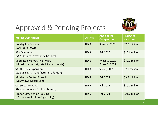

# Approved & Pending Projects

| <b>Project Description</b>                                              | <b>District</b>  | <b>Anticipated</b><br><b>Completion</b> | <b>Projected</b><br><b>Valuation</b> |
|-------------------------------------------------------------------------|------------------|-----------------------------------------|--------------------------------------|
| <b>Holiday Inn Express</b><br>(106 room hotel)                          | TID <sub>3</sub> | Summer 2020                             | \$7.0 million                        |
| <b>SBH Miramont</b><br>(54,500 sq. ft. psychiatric hospital)            | TID <sub>3</sub> | <b>Fall 2020</b>                        | \$10.6 million                       |
| Middleton Market/The Aviary<br>(Mixed Use market, retail & apartments)  | TID <sub>5</sub> | Phase 1: 2020<br>Phase 2: 2021          | \$42.0 million                       |
| <b>SACO Foods Expansion</b><br>(20,895 sq. ft. manufacturing addition)  | TID <sub>3</sub> | Spring 2021                             | \$2.0 million                        |
| <b>Middleton Center Phase III</b><br>(Downtown Mixed Use)               | TID <sub>3</sub> | <b>Fall 2021</b>                        | \$9.5 million                        |
| <b>Conservancy Bend</b><br>(87 apartments & 19 townhomes)               | TID <sub>5</sub> | <b>Fall 2021</b>                        | \$20.7 million                       |
| <b>Graber View Senior Housing</b><br>(101 unit senior housing facility) | TID <sub>5</sub> | <b>Fall 2021</b>                        | \$21.0 million                       |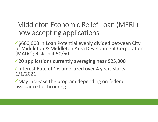# Middleton Economic Relief Loan (MERL) now accepting applications

 $\checkmark$  \$600,000 in Loan Potential evenly divided between City of Middleton & Middleton Area Development Corporation (MADC); Risk split 50/50

 $\sqrt{20}$  applications currently averaging near \$25,000

 $\checkmark$  Interest Rate of 1% amortized over 4 years starts 1/1/2021

May increase the program depending on federal assistance forthcoming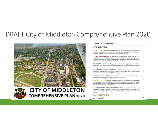### DRAFT City of Middleton Comprehensive Plan 2020



#### **TABLE OF CONTENTS**

#### **INTRODUCTION**

LAND USE - Middleton will establish a land use pattern that promotes compact development, protection of natural resources; a range of housing options, mobility, and economic growth in order to maintain an exceptional quality of life. TRANSPORTATION - Middleton's transportation system will be safe. 13 selable, convenient, affordable, afficient, and less reliant on single cocupancy vehicles to reduce environmental impact, promote active lifestyles, and enhance prosperity for all people regardless of age, ability, or mode of transportation. 43 HOUSING - Middleton will support a wide range of housing types, stres, and costs throughout the City, including quality affordable housing, in order to meet the projected housing needs. ECONOMIC DEVELOPMENT - Middleton will susport an inclusive and 59 innovative economy that includes a range of high-quality jobs and educational opportunities to serve the meets of the community at large. CHARACTER - Modeton will embrace the vibrant characteristics that shape our 76 community's evolving identity while celebrating its heritage. 82 GREEN CITY - Moderan will preserve, protect and enhance our unparalleled connections to nature, agriculture, and water resources, and we will continue to lead with a community-wide stewardship eithic that will equitably mitigate climate change and adapt to our changing environment. GOVERNANCE AND PARTNERSHIPS - The City of Moldleton will 115 continually engage stakeholders, provide high quality and efficient services, and develop partnerships with other agencies and units of government to meet community needs. 138 **IMPLEMENTATION** 

٠



**CITY OF MIDDLETON COMPREHENSIVE PLAN 2020** 

**APPENDICES**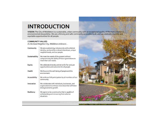### **INTRODUCTION**

VISION: The City of Middleton is a sustainable, urban community with an exceptional quality of life that is rooted in<br>environmental stewardship. We are a thriving and safe community accessible to all, and we celebrate dive equitable opportunities for all people.

#### **COMMUNITY VALUES**

As the Good Neighbor City, Middleton embraces...

| We are a welcoming, inclusive city with a distinct<br>identity, anchored by a vibrant downtown, unique<br>neighborhoods, and our people. |
|------------------------------------------------------------------------------------------------------------------------------------------|
| We meet the needs of the present without<br>compromising the ability of future generations to<br>meet their own needs.                   |
| We celebrate diversity and strive for fair and just<br>opportunities and outcomes for all people.                                        |
| We focus on the well-being of people and the<br>environment.                                                                             |
| We embrace full participation by all members of our<br>community.                                                                        |
| We collaborate with individuals, businesses, and<br>organizations to embrace new ideas that will foster<br>strong economic growth.       |
| We aspire to be a community that is capable of<br>withstanding and recovering from adverse<br>situations.                                |
|                                                                                                                                          |

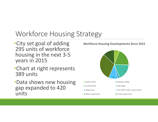# Workforce Housing Strategy

- •City set goal of adding 295 units of workforce housing in the next 3-5 years in 2015
- •Chart at right represents 389 units
- •Data shows new housing gap expanded to 420 units

#### **Workforce Housing Developments Since 2015**

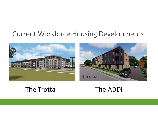# Current Workforce Housing Developments





### The Trotta

### The ADDI